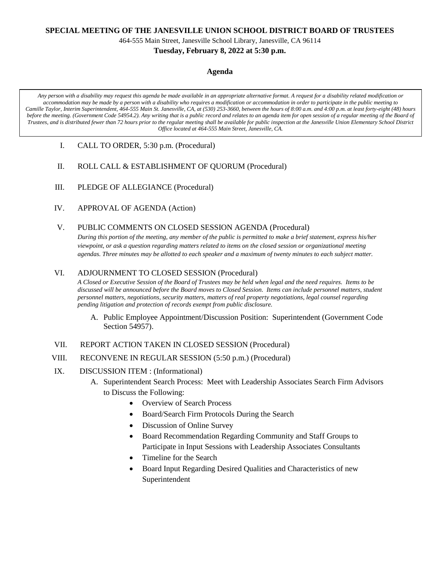### **SPECIAL MEETING OF THE JANESVILLE UNION SCHOOL DISTRICT BOARD OF TRUSTEES**

464-555 Main Street, Janesville School Library, Janesville, CA 96114

## **Tuesday, February 8, 2022 at 5:30 p.m.**

#### **Agenda**

*Any person with a disability may request this agenda be made available in an appropriate alternative format. A request for a disability related modification or accommodation may be made by a person with a disability who requires a modification or accommodation in order to participate in the public meeting to Camille Taylor, Interim Superintendent, 464-555 Main St. Janesville, CA, at (530) 253-3660, between the hours of 8:00 a.m. and 4:00 p.m. at least forty-eight (48) hours before the meeting. (Government Code 54954.2). Any writing that is a public record and relates to an agenda item for open session of a regular meeting of the Board of Trustees, and is distributed fewer than 72 hours prior to the regular meeting shall be available for public inspection at the Janesville Union Elementary School District Office located at 464-555 Main Street, Janesville, CA.*

- I. CALL TO ORDER, 5:30 p.m. (Procedural)
- II. ROLL CALL & ESTABLISHMENT OF QUORUM (Procedural)
- III. PLEDGE OF ALLEGIANCE (Procedural)
- IV. APPROVAL OF AGENDA (Action)
- V. PUBLIC COMMENTS ON CLOSED SESSION AGENDA (Procedural)

*During this portion of the meeting, any member of the public is permitted to make a brief statement, express his/her viewpoint, or ask a question regarding matters related to items on the closed session or organizational meeting agendas. Three minutes may be allotted to each speaker and a maximum of twenty minutes to each subject matter.*

# VI. ADJOURNMENT TO CLOSED SESSION (Procedural)

*A Closed or Executive Session of the Board of Trustees may be held when legal and the need requires. Items to be discussed will be announced before the Board moves to Closed Session. Items can include personnel matters, student personnel matters, negotiations, security matters, matters of real property negotiations, legal counsel regarding pending litigation and protection of records exempt from public disclosure.*

- A. Public Employee Appointment/Discussion Position: Superintendent (Government Code Section 54957).
- VII. REPORT ACTION TAKEN IN CLOSED SESSION (Procedural)
- VIII. RECONVENE IN REGULAR SESSION (5:50 p.m.) (Procedural)
- IX. DISCUSSION ITEM : (Informational)
	- A. Superintendent Search Process: Meet with Leadership Associates Search Firm Advisors to Discuss the Following:
		- Overview of Search Process
		- Board/Search Firm Protocols During the Search
		- Discussion of Online Survey
		- Board Recommendation Regarding Community and Staff Groups to Participate in Input Sessions with Leadership Associates Consultants
		- Timeline for the Search
		- Board Input Regarding Desired Qualities and Characteristics of new Superintendent